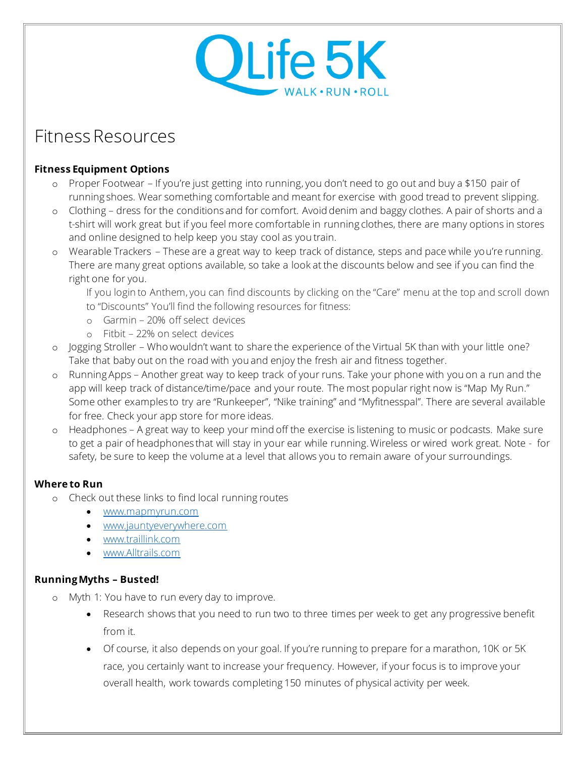# OLife 5K **NALK • RUN • ROLL**

## Fitness Resources

#### **Fitness Equipment Options**

- o Proper Footwear If you're just getting into running, you don't need to go out and buy a \$150 pair of running shoes. Wear something comfortable and meant for exercise with good tread to prevent slipping.
- o Clothing dress for the conditions and for comfort. Avoid denim and baggy clothes. A pair of shorts and a t-shirt will work great but if you feel more comfortable in running clothes, there are many options in stores and online designed to help keep you stay cool as you train.
- o Wearable Trackers These are a great way to keep track of distance, steps and pace while you're running. There are many great options available, so take a look at the discounts below and see if you can find the right one for you.

If you login to Anthem, you can find discounts by clicking on the "Care" menu at the top and scroll down to "Discounts" You'll find the following resources for fitness:

- o Garmin 20% off select devices
- o Fitbit 22% on select devices
- o Jogging Stroller Who wouldn't want to share the experience of the Virtual 5K than with your little one? Take that baby out on the road with you and enjoy the fresh air and fitness together.
- o Running Apps Another great way to keep track of your runs. Take your phone with you on a run and the app will keep track of distance/time/pace and your route. The most popular right now is "Map My Run." Some other examples to try are "Runkeeper", "Nike training" and "Myfitnesspal". There are several available for free. Check your app store for more ideas.
- o Headphones A great way to keep your mind off the exercise is listening to music or podcasts. Make sure to get a pair of headphones that will stay in your ear while running. Wireless or wired work great. Note - for safety, be sure to keep the volume at a level that allows you to remain aware of your surroundings.

### **Where to Run**

- o Check out these links to find local running routes
	- [www.mapmyrun.com](http://www.mapmyrun.com/)
	- [www.jauntyeverywhere.com](http://www.jauntyeverywhere.com/)
	- [www.traillink.com](http://www.traillink.com/)
	- [www.Alltrails.com](http://www.alltrails.com/)

### **Running Myths – Busted!**

- o Myth 1: You have to run every day to improve.
	- Research shows that you need to run two to three times per week to get any progressive benefit from it.
	- Of course, it also depends on your goal. If you're running to prepare for a marathon, 10K or 5K race, you certainly want to increase your frequency. However, if your focus is to improve your overall health, work towards completing 150 minutes of physical activity per week.